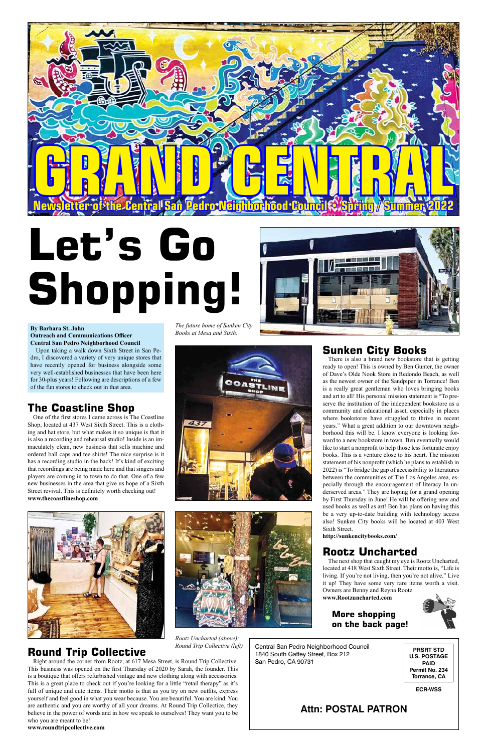Central San Pedro Neighborhood Council 1840 South Gaffey Street, Box 212 San Pedro, CA 90731

## **Attn: POSTAL PATRON**

**PRSRT STD U.S. POSTAGE PAID Permit No. 234 Torrance, CA**

**ECR-WSS**



# **Let's Go Shopping!**



### **By Barbara St. John Outreach and Communications Officer Central San Pedro Neighborhood Council**

Upon taking a walk down Sixth Street in San Pedro, I discovered a variety of very unique stores that have recently opened for business alongside some very well-established businesses that have been here for 30-plus years! Following are descriptions of a few of the fun stores to check out in that area.

# **The Coastline Shop**

One of the first stores I came across is The Coastline Shop, located at 437 West Sixth Street. This is a clothing and hat store, but what makes it so unique is that it is also a recording and rehearsal studio! Inside is an immaculately clean, new business that sells machine and ordered ball caps and tee shirts! The nice surprise is it has a recording studio in the back! It's kind of exciting that recordings are being made here and that singers and players are coming in to town to do that. One of a few new businesses in the area that give us hope of a Sixth Street revival. This is definitely worth checking out! **www.thecoastlineshop.com**



# **Rootz Uncharted**

The next shop that caught my eye is Rootz Uncharted, located at 418 West Sixth Street. Their motto is, "Life is living. If you're not living, then you're not alive." Live it up! They have some very rare items worth a visit. Owners are Benny and Reyna Rootz.

**www.Rootzuncharted.com**

# **Round Trip Collective**

Right around the corner from Rootz, at 617 Mesa Street, is Round Trip Collective. This business was opened on the first Thursday of 2020 by Sarah, the founder. This is a boutique that offers refurbished vintage and new clothing along with accessories. This is a great place to check out if you're looking for a little "retail therapy" as it's full of unique and cute items. Their motto is that as you try on new outfits, express yourself and feel good in what you wear because. You are beautiful. You are kind. You are authentic and you are worthy of all your dreams. At Round Trip Collectice, they believe in the power of words and in how we speak to ourselves! They want you to be who you are meant to be!

**www.roundtripcollective.com**

# **Sunken City Books**

There is also a brand new bookstore that is getting ready to open! This is owned by Ben Gunter, the owner of Dave's Olde Nook Store in Redondo Beach, as well as the newest owner of the Sandpiper in Torrance! Ben is a really great gentleman who loves bringing books and art to all! His personal mission statement is "To preserve the institution of the independent bookstore as a community and educational asset, especially in places where bookstores have struggled to thrive in recent years." What a great addition to our downtown neighborhood this will be. I know everyone is looking forward to a new bookstore in town. Ben eventually would like to start a nonprofit to help those less fortunate enjoy books. This is a venture close to his heart. The mission statement of his nonprofit (which he plans to establish in 2022) is "To bridge the gap of accessibility to literatures between the communities of The Los Angeles area, especially through the encouragement of literacy In underserved areas." They are hoping for a grand opening by First Thursday in June! He will be offering new and used books as well as art! Ben has plans on having this be a very up-to-date building with technology access also! Sunken City books will be located at 403 West Sixth Street.

**http://sunkencitybooks.com/**

*The future home of Sunken City Books at Mesa and Sixth.*





### *Rootz Uncharted (above); Round Trip Collective (left)*

### **More shopping on the back page!**

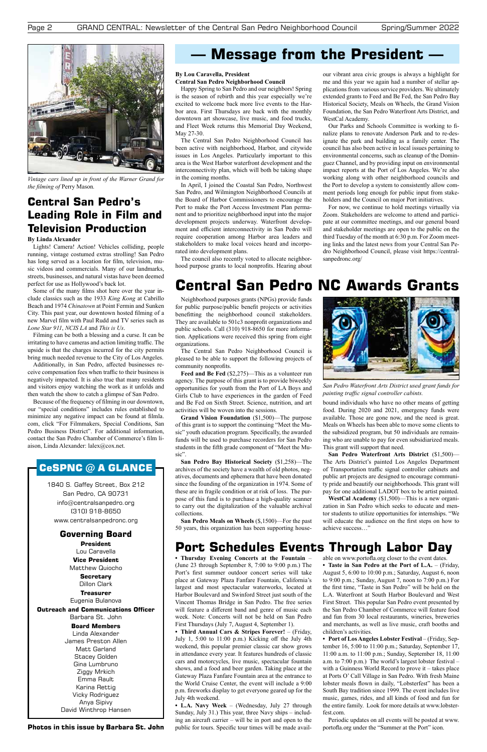1840 S. Gaffey Street, Box 212 San Pedro, CA 90731 info@centralsanpedro.org (310) 918-8650 www.centralsanpedronc.org

**Governing Board President** Lou Caravella **Vice President** Matthew Quiocho **Secretary** Dillon Clark **Treasurer** Eugenia Bulanova **Outreach and Communications Officer** Barbara St. John **Board Members** Linda Alexander James Preston Allen Matt Garland Stacey Golden Gina Lumbruno Ziggy Mrkich Emma Rault Karina Rettig Vicky Rodriguez Anya Sipivy David Winthrop Hansen

# **Message from the President —**

**Photos in this issue by Barbara St. John**

**• Thursday Evening Concerts at the Fountain** – (June 23 through September 8, 7:00 to 9:00 p.m.) The Port's first summer outdoor concert series will take place at Gateway Plaza Fanfare Fountain, California's largest and most spectacular waterworks, located at Harbor Boulevard and Swinford Street just south of the Vincent Thomas Bridge in San Pedro. The free series will feature a different band and genre of music each week. Note: Concerts will not be held on San Pedro First Thursdays (July 7, August 4, September 1).

**• Third Annual Cars & Stripes Forever!** – (Friday, July 1, 5:00 to 11:00 p.m.) Kicking off the July 4th weekend, this popular premier classic car show grows in attendance every year. It features hundreds of classic cars and motorcycles, live music, spectacular fountain shows, and a food and beer garden. Taking place at the Gateway Plaza Fanfare Fountain area at the entrance to the World Cruise Center, the event will include a 9:00 p.m. fireworks display to get everyone geared up for the July 4th weekend.

**• L.A. Navy Week** – (Wednesday, July 27 through Sunday, July 31.) This year, three Navy ships – including an aircraft carrier – will be in port and open to the public for tours. Specific tour times will be made available on www.portofla.org closer to the event dates.

**• Taste in San Pedro at the Port of L.A.** – (Friday, August 5, 6:00 to 10:00 p.m.; Saturday, August 6, noon to 9:00 p.m.; Sunday, August 7, noon to 7:00 p.m.) For the first time, "Taste in San Pedro" will be held on the L.A. Waterfront at South Harbor Boulevard and West First Street. This popular San Pedro event presented by the San Pedro Chamber of Commerce will feature food and fun from 30 local restaurants, wineries, breweries and merchants, as well as live music, craft booths and children's activities.

**• Port of Los Angeles Lobster Festival** – (Friday, September 16, 5:00 to 11:00 p.m.; Saturday, September 17, 11:00 a.m. to 11:00 p.m.; Sunday, September 18, 11:00 a.m. to 7:00 p.m.) The world's largest lobster festival – with a Guinness World Record to prove it – takes place at Ports O' Call Village in San Pedro. With fresh Maine lobster meals flown in daily, "Lobsterfest" has been a South Bay tradition since 1999. The event includes live music, games, rides, and all kinds of food and fun for the entire family. Look for more details at www.lobsterfest.com.

Periodic updates on all events will be posted at www. portofla.org under the "Summer at the Port" icon.



*Vintage cars lined up in front of the Warner Grand for the filming of* Perry Mason*.*

# **Central San Pedro's Leading Role in Film and Television Production**

### **By Linda Alexander**

Lights! Camera! Action! Vehicles colliding, people running, vintage costumed extras strolling! San Pedro has long served as a location for film, television, music videos and commercials. Many of our landmarks, streets, businesses, and natural vistas have been deemed perfect for use as Hollywood's back lot.

Some of the many films shot here over the year include classics such as the 1933 *King Kong* at Cabrillo Beach and 1974 *Chinatown* at Point Fermin and Sunken City. This past year, our downtown hosted filming of a new Marvel film with Paul Rudd and TV series such as *Lone Star 911*, *NCIS LA* and *This is Us*.

Filming can be both a blessing and a curse. It can be irritating to have cameras and action limiting traffic. The upside is that the charges incurred for the city permits bring much needed revenue to the City of Los Angeles.

Additionally, in San Pedro, affected businesses receive compensation fees when traffic to their business is negatively impacted. It is also true that many residents and visitors enjoy watching the work as it unfolds and then watch the show to catch a glimpse of San Pedro.

Because of the frequency of filming in our downtown, our "special conditions" includes rules established to minimize any negative impact can be found at filmla. com, click "For Filmmakers, Special Conditions, San Pedro Business District". For additional information, contact the San Pedro Chamber of Commerce's film liaison, Linda Alexander: lalex@cox.net.

# CeSPNC  $@$  A GLANCE

Neighborhood purposes grants (NPGs) provide funds for public purpose/public benefit projects or activities benefitting the neighborhood council stakeholders. They are available to 501c3 nonprofit organizations and public schools. Call (310) 918-8650 for more information. Applications were received this spring from eight organizations.

The Central San Pedro Neighborhood Council is pleased to be able to support the following projects of community nonprofits.

**Feed and Be Fed** (\$2,275)—This as a volunteer run agency. The purpose of this grant is to provide biweekly opportunities for youth from the Port of LA Boys and Girls Club to have experiences in the garden of Feed and Be Fed on Sixth Street. Science, nutrition, and art activities will be woven into the sessions.

**Grand Vision Foundation** (\$1,500)—The purpose of this grant is to support the continuing "Meet the Music" youth education program. Specifically, the awarded funds will be used to purchase recorders for San Pedro students in the fifth grade component of "Meet the Music".

**San Pedro Bay Historical Society** (\$1,258)—The archives of the society have a wealth of old photos, negatives, documents and ephemera that have been donated since the founding of the organization in 1974. Some of these are in fragile condition or at risk of loss. The purpose of this fund is to purchase a high-quality scanner to carry out the digitalization of the valuable archival collections.

**San Pedro Meals on Wheels** (\$,1500)—For the past 50 years, this organization has been supporting housebound individuals who have no other means of getting food. During 2020 and 2021, emergency funds were available. Those are gone now, and the need is great. Meals on Wheels has been able to move some clients to the subsidized program, but 50 individuals are remaining who are unable to pay for even subsidiarized meals. This grant will support that need.

**San Pedro Waterfront Arts District** (\$1,500)— The Arts District's painted Los Angeles Department of Transportation traffic signal controller cabinets and public art projects are designed to encourage community pride and beautify our neighborhoods. This grant will pay for one additional LADOT box to be artist painted.

**WestCal Academy** (\$1,500)—This is a new organization in San Pedro which seeks to educate and mentor students to utilize opportunities for internships. "We will educate the audience on the first steps on how to achieve success…"

# **Central San Pedro NC Awards Grants**



*San Pedro Waterfront Arts District used grant funds for painting traffic signal controller cabints.*

# **Port Schedules Events Through Labor Day**

### **By Lou Caravella, President Central San Pedro Neighborhood Council**

Happy Spring to San Pedro and our neighbors! Spring is the season of rebirth and this year especially we're excited to welcome back more live events to the Harbor area. First Thursdays are back with the monthly downtown art showcase, live music, and food trucks, and Fleet Week returns this Memorial Day Weekend, May 27-30.

The Central San Pedro Neighborhood Council has been active with neighborhood, Harbor, and citywide issues in Los Angeles. Particularly important to this area is the West Harbor waterfront development and the interconnectivity plan, which will both be taking shape in the coming months.

In April, I joined the Coastal San Pedro, Northwest San Pedro, and Wilmington Neighborhood Councils at the Board of Harbor Commissioners to encourage the Port to make the Port Access Investment Plan permanent and to prioritize neighborhood input into the major development projects underway. Waterfront development and efficient interconnectivity in San Pedro will require cooperation among Harbor area leaders and stakeholders to make local voices heard and incorporated into development plans.

The council also recently voted to allocate neighborhood purpose grants to local nonprofits. Hearing about our vibrant area civic groups is always a highlight for me and this year we again had a number of stellar applications from various service providers. We ultimately extended grants to Feed and Be Fed, the San Pedro Bay Historical Society, Meals on Wheels, the Grand Vision Foundation, the San Pedro Waterfront Arts District, and WestCal Academy.

Our Parks and Schools Committee is working to finalize plans to renovate Anderson Park and to re-designate the park and building as a family center. The council has also been active in local issues pertaining to environmental concerns, such as cleanup of the Dominguez Channel, and by providing input on environmental impact reports at the Port of Los Angeles. We're also working along with other neighborhood councils and the Port to develop a system to consistently allow comment periods long enough for public input from stakeholders and the Council on major Port initiatives.

For now, we continue to hold meetings virtually via Zoom. Stakeholders are welcome to attend and participate at our committee meetings, and our general board and stakeholder meetings are open to the public on the third Tuesday of the month at 6:30 p.m. For Zoom meeting links and the latest news from your Central San Pedro Neighborhood Council, please visit https://centralsanpedronc.org/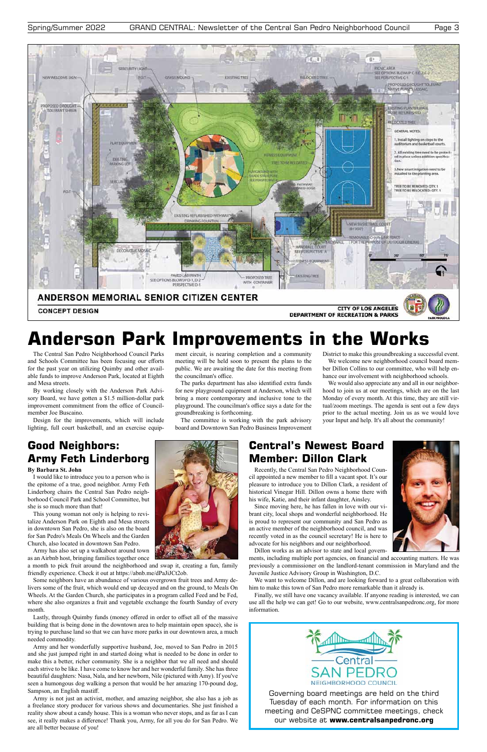

Governing board meetings are held on the third Tuesday of each month. For information on this meeting and CeSPNC committee meetings, check our website at **www.centralsanpedronc.org**

The Central San Pedro Neighborhood Council Parks and Schools Committee has been focusing our efforts for the past year on utilizing Quimby and other available funds to improve Anderson Park, located at Eighth and Mesa streets.

By working closely with the Anderson Park Advisory Board, we have gotten a \$1.5 million-dollar park improvement commitment from the office of Councilmember Joe Buscaino.

Design for the improvements, which will include lighting, full court basketball, and an exercise equipment circuit, is nearing completion and a community meeting will be held soon to present the plans to the public. We are awaiting the date for this meeting from the councilman's office.

The parks department has also identified extra funds for new playground equipment at Anderson, which will bring a more contemporary and inclusive tone to the playground. The councilman's office says a date for the groundbreaking is forthcoming.

The committee is working with the park advisory board and Downtown San Pedro Business Improvement District to make this groundbreaking a successful event. We welcome new neighborhood council board mem-

ber Dillon Collins to our committee, who will help enhance our involvement with neighborhood schools.

We would also appreciate any and all in our neighborhood to join us at our meetings, which are on the last Monday of every month. At this time, they are still virtual/zoom meetings. The agenda is sent out a few days prior to the actual meeting. Join us as we would love your Input and help. It's all about the community!

# **Good Neighbors: Army Feth Linderborg**

### **By Barbara St. John**

I would like to introduce you to a person who is the epitome of a true, good neighbor. Army Feth Linderborg chairs the Central San Pedro neighborhood Council Park and School Committee, but she is so much more than that!

This young woman not only is helping to revitalize Anderson Park on Eighth and Mesa streets in downtown San Pedro, she is also on the board for San Pedro's Meals On Wheels and the Garden Church, also located in downtown San Pedro.

Army has also set up a walkabout around town

as an Airbnb host, bringing families together once



a month to pick fruit around the neighborhood and swap it, creating a fun, family friendly experience. Check it out at https://abnb.me/dPaJiJCt2ob.

Some neighbors have an abundance of various overgrown fruit trees and Army delivers some of the fruit, which would end up decayed and on the ground, to Meals On Wheels. At the Garden Church, she participates in a program called Feed and be Fed, where she also organizes a fruit and vegetable exchange the fourth Sunday of every month.

Lastly, through Quimby funds (money offered in order to offset all of the massive building that is being done in the downtown area to help maintain open space), she is trying to purchase land so that we can have more parks in our downtown area, a much needed commodity.

Army and her wonderfully supportive husband, Joe, moved to San Pedro in 2015 and she just jumped right in and started doing what is needed to be done in order to make this a better, richer community. She is a neighbor that we all need and should each strive to be like. I have come to know her and her wonderful family. She has three beautiful daughters: Nasa, Nala, and her newborn, Nile (pictured with Amy). If you've seen a humongous dog walking a person that would be her amazing 170-pound dog, Sampson, an English mastiff.

Army is not just an activist, mother, and amazing neighbor, she also has a job as a freelance story producer for various shows and documentaries. She just finished a reality show about a candy house. This is a woman who never stops, and as far as I can see, it really makes a difference! Thank you, Army, for all you do for San Pedro. We are all better because of you!

# **Central's Newest Board Member: Dillon Clark**

Recently, the Central San Pedro Neighborhood Council appointed a new member to fill a vacant spot. It's our pleasure to introduce you to Dillon Clark, a resident of historical Vinegar Hill. Dillon owns a home there with his wife, Katie, and their infant daughter, Ainsley.

Since moving here, he has fallen in love with our vibrant city, local shops and wonderful neighborhood. He is proud to represent our community and San Pedro as an active member of the neighborhood council, and was recently voted in as the council secretary! He is here to advocate for his neighbors and our neighborhood.

Dillon works as an advisor to state and local govern-



ments, including multiple port agencies, on financial and accounting matters. He was previously a commissioner on the landlord-tenant commission in Maryland and the Juvenile Justice Advisory Group in Washington, D.C.

We want to welcome Dillon, and are looking forward to a great collaboration with him to make this town of San Pedro more remarkable than it already is.

Finally, we still have one vacancy available. If anyone reading is interested, we can use all the help we can get! Go to our website, www.centralsanpedronc.org, for more information.



# **Anderson Park Improvements in the Works**